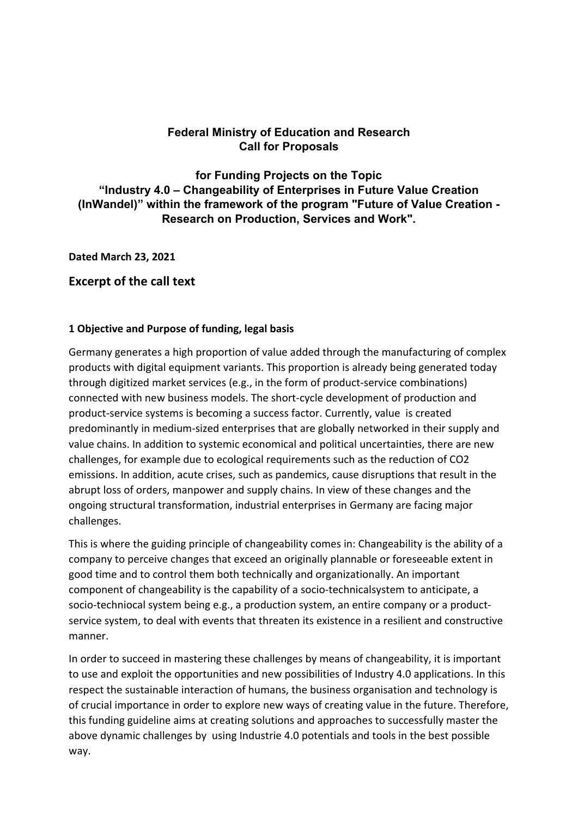# **Federal Ministry of Education and Research Call for Proposals**

**for Funding Projects on the Topic "Industry 4.0 – Changeability of Enterprises in Future Value Creation (InWandel)" within the framework of the program "Future of Value Creation - Research on Production, Services and Work".** 

**Dated March 23, 2021** 

# **Excerpt of the call text**

### **1 Objective and Purpose of funding, legal basis**

Germany generates a high proportion of value added through the manufacturing of complex products with digital equipment variants. This proportion is already being generated today through digitized market services (e.g., in the form of product‐service combinations) connected with new business models. The short‐cycle development of production and product‐service systems is becoming a success factor. Currently, value is created predominantly in medium‐sized enterprises that are globally networked in their supply and value chains. In addition to systemic economical and political uncertainties, there are new challenges, for example due to ecological requirements such as the reduction of CO2 emissions. In addition, acute crises, such as pandemics, cause disruptions that result in the abrupt loss of orders, manpower and supply chains. In view of these changes and the ongoing structural transformation, industrial enterprises in Germany are facing major challenges.

This is where the guiding principle of changeability comes in: Changeability is the ability of a company to perceive changes that exceed an originally plannable or foreseeable extent in good time and to control them both technically and organizationally. An important component of changeability is the capability of a socio‐technicalsystem to anticipate, a socio-techniocal system being e.g., a production system, an entire company or a productservice system, to deal with events that threaten its existence in a resilient and constructive manner.

In order to succeed in mastering these challenges by means of changeability, it is important to use and exploit the opportunities and new possibilities of Industry 4.0 applications. In this respect the sustainable interaction of humans, the business organisation and technology is of crucial importance in order to explore new ways of creating value in the future. Therefore, this funding guideline aims at creating solutions and approaches to successfully master the above dynamic challenges by using Industrie 4.0 potentials and tools in the best possible way.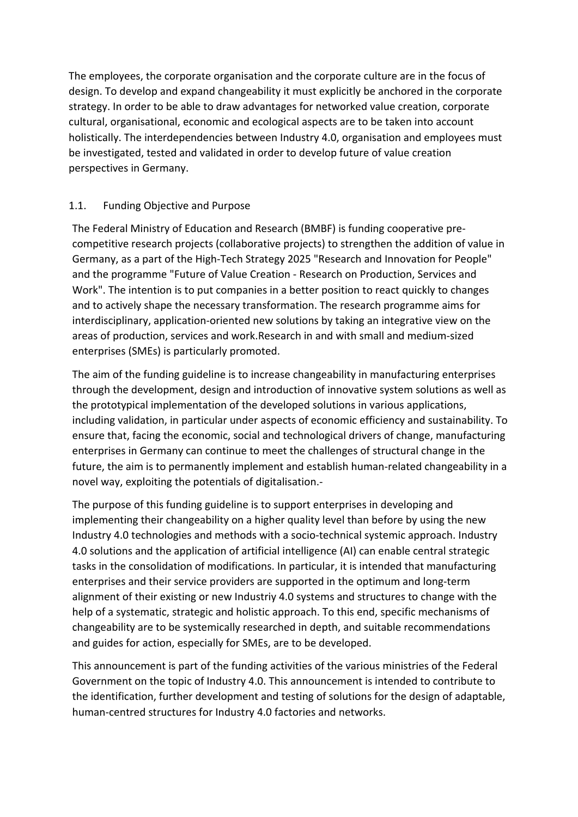The employees, the corporate organisation and the corporate culture are in the focus of design. To develop and expand changeability it must explicitly be anchored in the corporate strategy. In order to be able to draw advantages for networked value creation, corporate cultural, organisational, economic and ecological aspects are to be taken into account holistically. The interdependencies between Industry 4.0, organisation and employees must be investigated, tested and validated in order to develop future of value creation perspectives in Germany.

# 1.1. Funding Objective and Purpose

The Federal Ministry of Education and Research (BMBF) is funding cooperative pre‐ competitive research projects (collaborative projects) to strengthen the addition of value in Germany, as a part of the High‐Tech Strategy 2025 "Research and Innovation for People" and the programme "Future of Value Creation ‐ Research on Production, Services and Work". The intention is to put companies in a better position to react quickly to changes and to actively shape the necessary transformation. The research programme aims for interdisciplinary, application‐oriented new solutions by taking an integrative view on the areas of production, services and work.Research in and with small and medium‐sized enterprises (SMEs) is particularly promoted.

The aim of the funding guideline is to increase changeability in manufacturing enterprises through the development, design and introduction of innovative system solutions as well as the prototypical implementation of the developed solutions in various applications, including validation, in particular under aspects of economic efficiency and sustainability. To ensure that, facing the economic, social and technological drivers of change, manufacturing enterprises in Germany can continue to meet the challenges of structural change in the future, the aim is to permanently implement and establish human-related changeability in a novel way, exploiting the potentials of digitalisation.‐

The purpose of this funding guideline is to support enterprises in developing and implementing their changeability on a higher quality level than before by using the new Industry 4.0 technologies and methods with a socio‐technical systemic approach. Industry 4.0 solutions and the application of artificial intelligence (AI) can enable central strategic tasks in the consolidation of modifications. In particular, it is intended that manufacturing enterprises and their service providers are supported in the optimum and long‐term alignment of their existing or new Industriy 4.0 systems and structures to change with the help of a systematic, strategic and holistic approach. To this end, specific mechanisms of changeability are to be systemically researched in depth, and suitable recommendations and guides for action, especially for SMEs, are to be developed.

This announcement is part of the funding activities of the various ministries of the Federal Government on the topic of Industry 4.0. This announcement is intended to contribute to the identification, further development and testing of solutions for the design of adaptable, human‐centred structures for Industry 4.0 factories and networks.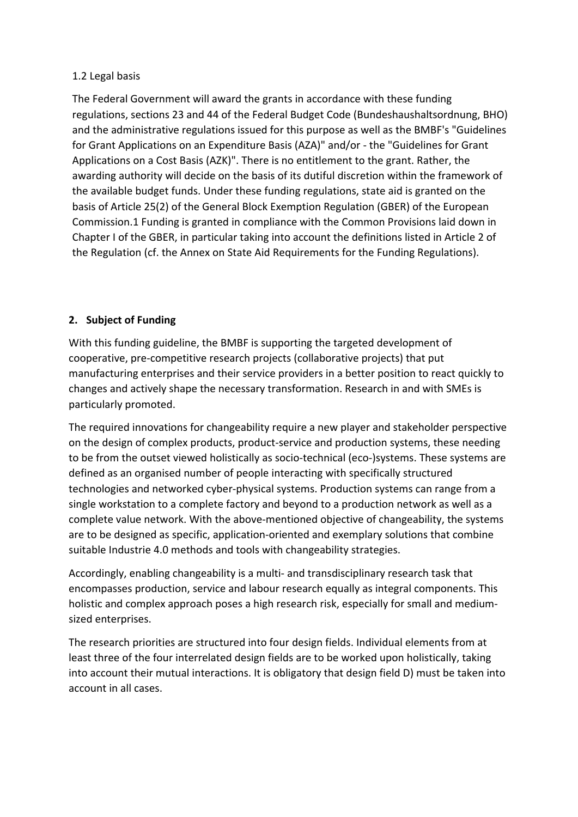## 1.2 Legal basis

The Federal Government will award the grants in accordance with these funding regulations, sections 23 and 44 of the Federal Budget Code (Bundeshaushaltsordnung, BHO) and the administrative regulations issued for this purpose as well as the BMBF's "Guidelines for Grant Applications on an Expenditure Basis (AZA)" and/or ‐ the "Guidelines for Grant Applications on a Cost Basis (AZK)". There is no entitlement to the grant. Rather, the awarding authority will decide on the basis of its dutiful discretion within the framework of the available budget funds. Under these funding regulations, state aid is granted on the basis of Article 25(2) of the General Block Exemption Regulation (GBER) of the European Commission.1 Funding is granted in compliance with the Common Provisions laid down in Chapter I of the GBER, in particular taking into account the definitions listed in Article 2 of the Regulation (cf. the Annex on State Aid Requirements for the Funding Regulations).

# **2. Subject of Funding**

With this funding guideline, the BMBF is supporting the targeted development of cooperative, pre‐competitive research projects (collaborative projects) that put manufacturing enterprises and their service providers in a better position to react quickly to changes and actively shape the necessary transformation. Research in and with SMEs is particularly promoted.

The required innovations for changeability require a new player and stakeholder perspective on the design of complex products, product-service and production systems, these needing to be from the outset viewed holistically as socio-technical (eco-)systems. These systems are defined as an organised number of people interacting with specifically structured technologies and networked cyber‐physical systems. Production systems can range from a single workstation to a complete factory and beyond to a production network as well as a complete value network. With the above‐mentioned objective of changeability, the systems are to be designed as specific, application‐oriented and exemplary solutions that combine suitable Industrie 4.0 methods and tools with changeability strategies.

Accordingly, enabling changeability is a multi‐ and transdisciplinary research task that encompasses production, service and labour research equally as integral components. This holistic and complex approach poses a high research risk, especially for small and medium‐ sized enterprises.

The research priorities are structured into four design fields. Individual elements from at least three of the four interrelated design fields are to be worked upon holistically, taking into account their mutual interactions. It is obligatory that design field D) must be taken into account in all cases.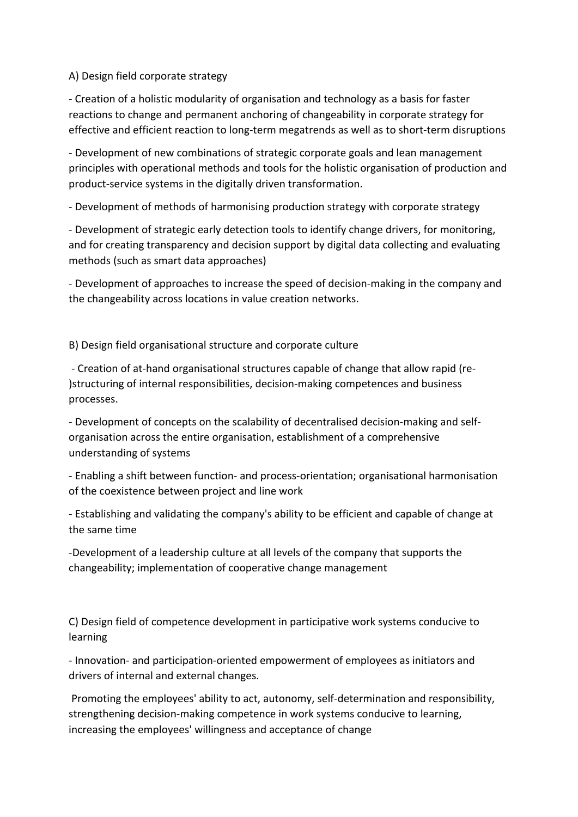A) Design field corporate strategy

‐ Creation of a holistic modularity of organisation and technology as a basis for faster reactions to change and permanent anchoring of changeability in corporate strategy for effective and efficient reaction to long‐term megatrends as well as to short‐term disruptions

‐ Development of new combinations of strategic corporate goals and lean management principles with operational methods and tools for the holistic organisation of production and product‐service systems in the digitally driven transformation.

‐ Development of methods of harmonising production strategy with corporate strategy

‐ Development of strategic early detection tools to identify change drivers, for monitoring, and for creating transparency and decision support by digital data collecting and evaluating methods (such as smart data approaches)

‐ Development of approaches to increase the speed of decision‐making in the company and the changeability across locations in value creation networks.

B) Design field organisational structure and corporate culture

 ‐ Creation of at‐hand organisational structures capable of change that allow rapid (re‐ )structuring of internal responsibilities, decision‐making competences and business processes.

‐ Development of concepts on the scalability of decentralised decision‐making and self‐ organisation across the entire organisation, establishment of a comprehensive understanding of systems

‐ Enabling a shift between function‐ and process‐orientation; organisational harmonisation of the coexistence between project and line work

‐ Establishing and validating the company's ability to be efficient and capable of change at the same time

‐Development of a leadership culture at all levels of the company that supports the changeability; implementation of cooperative change management

C) Design field of competence development in participative work systems conducive to learning

‐ Innovation‐ and participation‐oriented empowerment of employees as initiators and drivers of internal and external changes.

Promoting the employees' ability to act, autonomy, self-determination and responsibility, strengthening decision‐making competence in work systems conducive to learning, increasing the employees' willingness and acceptance of change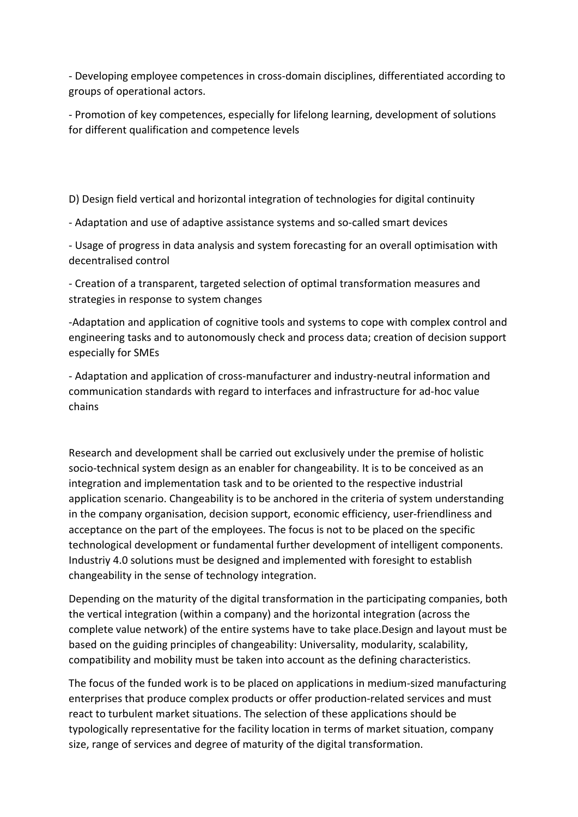‐ Developing employee competences in cross‐domain disciplines, differentiated according to groups of operational actors.

‐ Promotion of key competences, especially for lifelong learning, development of solutions for different qualification and competence levels

D) Design field vertical and horizontal integration of technologies for digital continuity

‐ Adaptation and use of adaptive assistance systems and so‐called smart devices

‐ Usage of progress in data analysis and system forecasting for an overall optimisation with decentralised control

‐ Creation of a transparent, targeted selection of optimal transformation measures and strategies in response to system changes

‐Adaptation and application of cognitive tools and systems to cope with complex control and engineering tasks and to autonomously check and process data; creation of decision support especially for SMEs

‐ Adaptation and application of cross‐manufacturer and industry‐neutral information and communication standards with regard to interfaces and infrastructure for ad‐hoc value chains

Research and development shall be carried out exclusively under the premise of holistic socio-technical system design as an enabler for changeability. It is to be conceived as an integration and implementation task and to be oriented to the respective industrial application scenario. Changeability is to be anchored in the criteria of system understanding in the company organisation, decision support, economic efficiency, user-friendliness and acceptance on the part of the employees. The focus is not to be placed on the specific technological development or fundamental further development of intelligent components. Industriy 4.0 solutions must be designed and implemented with foresight to establish changeability in the sense of technology integration.

Depending on the maturity of the digital transformation in the participating companies, both the vertical integration (within a company) and the horizontal integration (across the complete value network) of the entire systems have to take place.Design and layout must be based on the guiding principles of changeability: Universality, modularity, scalability, compatibility and mobility must be taken into account as the defining characteristics.

The focus of the funded work is to be placed on applications in medium‐sized manufacturing enterprises that produce complex products or offer production‐related services and must react to turbulent market situations. The selection of these applications should be typologically representative for the facility location in terms of market situation, company size, range of services and degree of maturity of the digital transformation.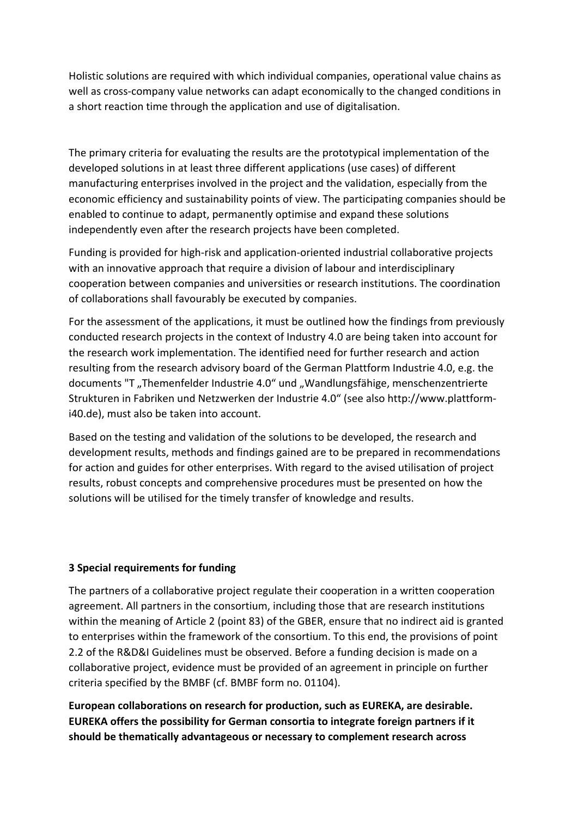Holistic solutions are required with which individual companies, operational value chains as well as cross-company value networks can adapt economically to the changed conditions in a short reaction time through the application and use of digitalisation.

The primary criteria for evaluating the results are the prototypical implementation of the developed solutions in at least three different applications (use cases) of different manufacturing enterprises involved in the project and the validation, especially from the economic efficiency and sustainability points of view. The participating companies should be enabled to continue to adapt, permanently optimise and expand these solutions independently even after the research projects have been completed.

Funding is provided for high‐risk and application‐oriented industrial collaborative projects with an innovative approach that require a division of labour and interdisciplinary cooperation between companies and universities or research institutions. The coordination of collaborations shall favourably be executed by companies.

For the assessment of the applications, it must be outlined how the findings from previously conducted research projects in the context of Industry 4.0 are being taken into account for the research work implementation. The identified need for further research and action resulting from the research advisory board of the German Plattform Industrie 4.0, e.g. the documents "T "Themenfelder Industrie 4.0" und "Wandlungsfähige, menschenzentrierte Strukturen in Fabriken und Netzwerken der Industrie 4.0" (see also http://www.plattform‐ i40.de), must also be taken into account.

Based on the testing and validation of the solutions to be developed, the research and development results, methods and findings gained are to be prepared in recommendations for action and guides for other enterprises. With regard to the avised utilisation of project results, robust concepts and comprehensive procedures must be presented on how the solutions will be utilised for the timely transfer of knowledge and results.

## **3 Special requirements for funding**

The partners of a collaborative project regulate their cooperation in a written cooperation agreement. All partners in the consortium, including those that are research institutions within the meaning of Article 2 (point 83) of the GBER, ensure that no indirect aid is granted to enterprises within the framework of the consortium. To this end, the provisions of point 2.2 of the R&D&I Guidelines must be observed. Before a funding decision is made on a collaborative project, evidence must be provided of an agreement in principle on further criteria specified by the BMBF (cf. BMBF form no. 01104).

**European collaborations on research for production, such as EUREKA, are desirable. EUREKA offers the possibility for German consortia to integrate foreign partners if it should be thematically advantageous or necessary to complement research across**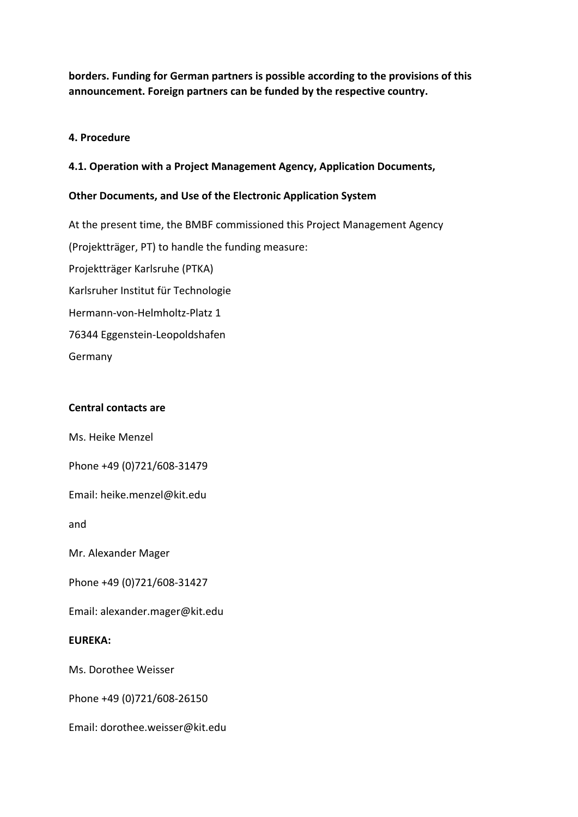**borders. Funding for German partners is possible according to the provisions of this announcement. Foreign partners can be funded by the respective country.** 

## **4. Procedure**

## **4.1. Operation with a Project Management Agency, Application Documents,**

#### **Other Documents, and Use of the Electronic Application System**

At the present time, the BMBF commissioned this Project Management Agency (Projektträger, PT) to handle the funding measure: Projektträger Karlsruhe (PTKA) Karlsruher Institut für Technologie Hermann‐von‐Helmholtz‐Platz 1 76344 Eggenstein‐Leopoldshafen Germany

#### **Central contacts are**

Ms. Heike Menzel

Phone +49 (0)721/608‐31479

Email: heike.menzel@kit.edu

and

Mr. Alexander Mager

Phone +49 (0)721/608‐31427

Email: alexander.mager@kit.edu

#### **EUREKA:**

Ms. Dorothee Weisser

Phone +49 (0)721/608‐26150

Email: dorothee.weisser@kit.edu